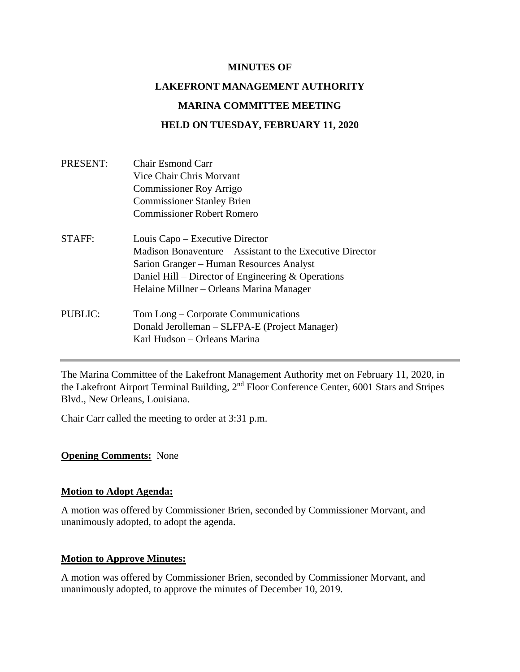#### **MINUTES OF**

# **LAKEFRONT MANAGEMENT AUTHORITY MARINA COMMITTEE MEETING HELD ON TUESDAY, FEBRUARY 11, 2020**

| Chair Esmond Carr<br>Vice Chair Chris Morvant<br><b>Commissioner Roy Arrigo</b><br><b>Commissioner Stanley Brien</b><br><b>Commissioner Robert Romero</b> |                                                                                                                                                               |                                          |
|-----------------------------------------------------------------------------------------------------------------------------------------------------------|---------------------------------------------------------------------------------------------------------------------------------------------------------------|------------------------------------------|
|                                                                                                                                                           | Louis Capo – Executive Director                                                                                                                               |                                          |
|                                                                                                                                                           | Madison Bonaventure – Assistant to the Executive Director<br>Sarion Granger – Human Resources Analyst<br>Daniel Hill – Director of Engineering $&$ Operations |                                          |
|                                                                                                                                                           |                                                                                                                                                               | Helaine Millner – Orleans Marina Manager |
|                                                                                                                                                           |                                                                                                                                                               | Tom Long – Corporate Communications      |
| Donald Jerolleman – SLFPA-E (Project Manager)                                                                                                             |                                                                                                                                                               |                                          |
| Karl Hudson - Orleans Marina                                                                                                                              |                                                                                                                                                               |                                          |
|                                                                                                                                                           |                                                                                                                                                               |                                          |

The Marina Committee of the Lakefront Management Authority met on February 11, 2020, in the Lakefront Airport Terminal Building, 2<sup>nd</sup> Floor Conference Center, 6001 Stars and Stripes Blvd., New Orleans, Louisiana.

Chair Carr called the meeting to order at 3:31 p.m.

#### **Opening Comments:** None

#### **Motion to Adopt Agenda:**

A motion was offered by Commissioner Brien, seconded by Commissioner Morvant, and unanimously adopted, to adopt the agenda.

#### **Motion to Approve Minutes:**

A motion was offered by Commissioner Brien, seconded by Commissioner Morvant, and unanimously adopted, to approve the minutes of December 10, 2019.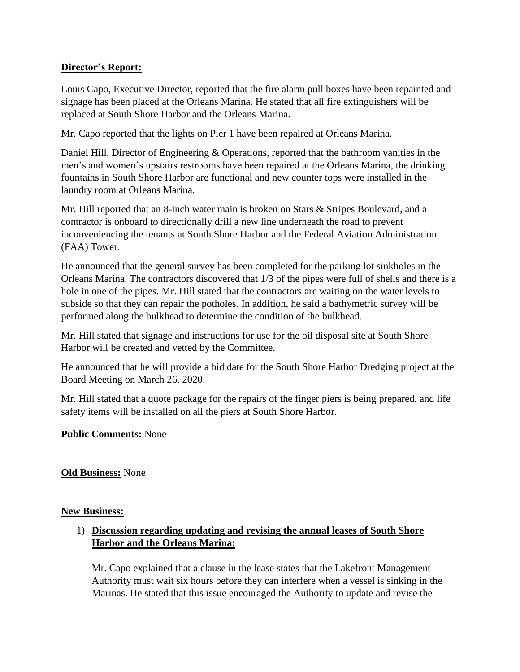# **Director's Report:**

Louis Capo, Executive Director, reported that the fire alarm pull boxes have been repainted and signage has been placed at the Orleans Marina. He stated that all fire extinguishers will be replaced at South Shore Harbor and the Orleans Marina.

Mr. Capo reported that the lights on Pier 1 have been repaired at Orleans Marina.

Daniel Hill, Director of Engineering & Operations, reported that the bathroom vanities in the men's and women's upstairs restrooms have been repaired at the Orleans Marina, the drinking fountains in South Shore Harbor are functional and new counter tops were installed in the laundry room at Orleans Marina.

Mr. Hill reported that an 8-inch water main is broken on Stars & Stripes Boulevard, and a contractor is onboard to directionally drill a new line underneath the road to prevent inconveniencing the tenants at South Shore Harbor and the Federal Aviation Administration (FAA) Tower.

He announced that the general survey has been completed for the parking lot sinkholes in the Orleans Marina. The contractors discovered that 1/3 of the pipes were full of shells and there is a hole in one of the pipes. Mr. Hill stated that the contractors are waiting on the water levels to subside so that they can repair the potholes. In addition, he said a bathymetric survey will be performed along the bulkhead to determine the condition of the bulkhead.

Mr. Hill stated that signage and instructions for use for the oil disposal site at South Shore Harbor will be created and vetted by the Committee.

He announced that he will provide a bid date for the South Shore Harbor Dredging project at the Board Meeting on March 26, 2020.

Mr. Hill stated that a quote package for the repairs of the finger piers is being prepared, and life safety items will be installed on all the piers at South Shore Harbor.

## **Public Comments:** None

# **Old Business:** None

## **New Business:**

# 1) **Discussion regarding updating and revising the annual leases of South Shore Harbor and the Orleans Marina:**

Mr. Capo explained that a clause in the lease states that the Lakefront Management Authority must wait six hours before they can interfere when a vessel is sinking in the Marinas. He stated that this issue encouraged the Authority to update and revise the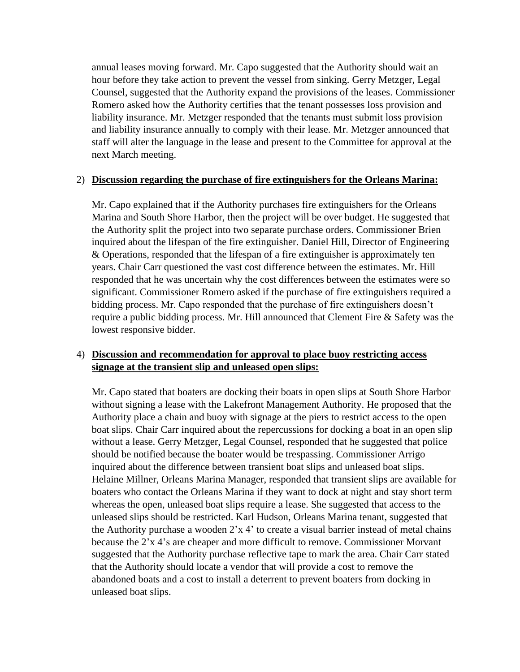annual leases moving forward. Mr. Capo suggested that the Authority should wait an hour before they take action to prevent the vessel from sinking. Gerry Metzger, Legal Counsel, suggested that the Authority expand the provisions of the leases. Commissioner Romero asked how the Authority certifies that the tenant possesses loss provision and liability insurance. Mr. Metzger responded that the tenants must submit loss provision and liability insurance annually to comply with their lease. Mr. Metzger announced that staff will alter the language in the lease and present to the Committee for approval at the next March meeting.

#### 2) **Discussion regarding the purchase of fire extinguishers for the Orleans Marina:**

Mr. Capo explained that if the Authority purchases fire extinguishers for the Orleans Marina and South Shore Harbor, then the project will be over budget. He suggested that the Authority split the project into two separate purchase orders. Commissioner Brien inquired about the lifespan of the fire extinguisher. Daniel Hill, Director of Engineering & Operations, responded that the lifespan of a fire extinguisher is approximately ten years. Chair Carr questioned the vast cost difference between the estimates. Mr. Hill responded that he was uncertain why the cost differences between the estimates were so significant. Commissioner Romero asked if the purchase of fire extinguishers required a bidding process. Mr. Capo responded that the purchase of fire extinguishers doesn't require a public bidding process. Mr. Hill announced that Clement Fire & Safety was the lowest responsive bidder.

# 4) **Discussion and recommendation for approval to place buoy restricting access signage at the transient slip and unleased open slips:**

Mr. Capo stated that boaters are docking their boats in open slips at South Shore Harbor without signing a lease with the Lakefront Management Authority. He proposed that the Authority place a chain and buoy with signage at the piers to restrict access to the open boat slips. Chair Carr inquired about the repercussions for docking a boat in an open slip without a lease. Gerry Metzger, Legal Counsel, responded that he suggested that police should be notified because the boater would be trespassing. Commissioner Arrigo inquired about the difference between transient boat slips and unleased boat slips. Helaine Millner, Orleans Marina Manager, responded that transient slips are available for boaters who contact the Orleans Marina if they want to dock at night and stay short term whereas the open, unleased boat slips require a lease. She suggested that access to the unleased slips should be restricted. Karl Hudson, Orleans Marina tenant, suggested that the Authority purchase a wooden  $2x$  4' to create a visual barrier instead of metal chains because the 2'x 4's are cheaper and more difficult to remove. Commissioner Morvant suggested that the Authority purchase reflective tape to mark the area. Chair Carr stated that the Authority should locate a vendor that will provide a cost to remove the abandoned boats and a cost to install a deterrent to prevent boaters from docking in unleased boat slips.